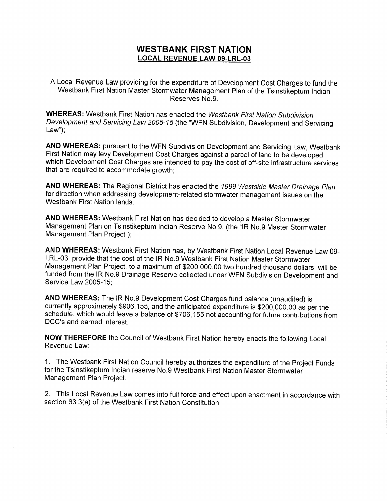## WESTBANK FIRST NATION LOCAL REVENUE LAW 09-LRL-03

A Local Revenue Law providing for the expenditure of Development cost charges to fund the Westbank First Nation Master Stormwater Management Plan of the Tsinstikeptum Indian Reserves No.9.

WHEREAS: Westbank First Nation has enacted the Westbank First Nation Subdivision Development and Servicing Law 2005-15 (the "WFN Subdivision, Development and Servicing  $Law$ ");

AND WHEREAS: pursuant to the WFN Subdivision Development and Servicing Law, Westbank First Nation may levy Development cost Charges against a parcel of land to be developed, which Development Cost Charges are intended to pay the cost of off-site infrastructure services that are required to accommodate growth;

AND WHEREAS: The Regional District has enacted the 1999 Westside Master Drainage Plan for direction when addressing development-related stormwater management issues on the Westbank First Nation lands.

AND WHEREAS: Westbank First Nation has decided to develop a Master Stormwater Management Plan on Tsinstikeptum Indian Reserve No.9, (the "IR No.9 Master Stormwater Management Plan Project");

AND WHEREAS: Westbank First Nation has, by Westbank First Nation Local Revenue Law 09- LRL -03, provide that the cost of the IR No.9 Westbank First Nation Master Stormwater Management Plan Project, to a maximum of \$200,000.00 two hundred thousand dollars, will be funded from the IR No.9 Drainage Reserve collected under WFN Subdivision Development and Service Law 2005-15;

AND WHEREAS: The IR No.9 Development Cost Charges fund balance (unaudited) is currently approximately \$906,155, and the anticipated expenditure is \$200,000.00 as per the Sorrico Eam Eccerci,<br> **AND WHEREAS:** The IR No.9 Development Cost Charges fund balance (unaudited) is<br>
currently approximately \$906,155, and the anticipated expenditure is \$200,000.00 as per the<br>
schedule, which would leav

NOW THEREFORE the Council of Westbank First Nation hereby enacts the following Local Revenue Law:

1. The Westbank First Nation council hereby authorizes the expenditure of the Project Funds for the Tsinstikeptum Indian reserve No.9 Westbank First Nation Master Stormwater Management Plan Project.

2. This Local Revenue Law comes into full force and effect upon enactment in accordance with Management Plan Project.<br>2. This Local Revenue Law comes into full force and effe<br>section 63.3(a) of the Westbank First Nation Constitution;